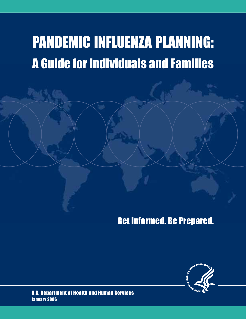# PANDEMIC INFLUENZA PLANNING: A Guide for Individuals and Families

## Get Informed. Be Prepared.



U.S. Department of Health and Human Services January 2006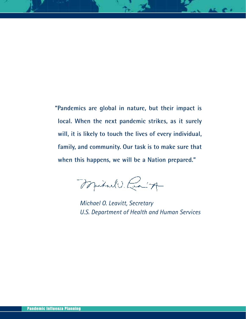**"Pandemics are global in nature, but their impact is local. When the next pandemic strikes, as it surely will, it is likely to touch the lives of every individual, family, and community. Our task is to make sure that when this happens, we will be a Nation prepared."**

Mitulo Rain

*Michael O. Leavitt, Secretary U.S. Department of Health and Human Services*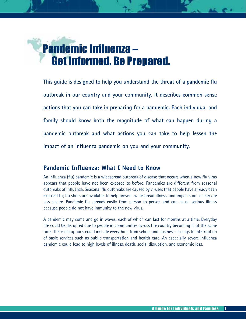

**This guide is designed to help you understand the threat of a pandemic flu outbreak in our country and your community. It describes common sense actions that you can take in preparing for a pandemic. Each individual and family should know both the magnitude of what can happen during a pandemic outbreak and what actions you can take to help lessen the impact of an influenza pandemic on you and your community.** 

## **Pandemic Influenza: What I Need to Know**

An influenza (flu) pandemic is a widespread outbreak of disease that occurs when a new flu virus appears that people have not been exposed to before. Pandemics are different from seasonal outbreaks of influenza. Seasonal flu outbreaks are caused by viruses that people have already been exposed to; flu shots are available to help prevent widespread illness, and impacts on society are less severe. Pandemic flu spreads easily from person to person and can cause serious illness because people do not have immunity to the new virus.

A pandemic may come and go in waves, each of which can last for months at a time. Everyday life could be disrupted due to people in communities across the country becoming ill at the same time. These disruptions could include everything from school and business closings to interruption of basic services such as public transportation and health care. An especially severe influenza pandemic could lead to high levels of illness, death, social disruption, and economic loss.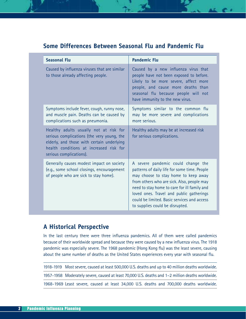## **Some Differences Between Seasonal Flu and Pandemic Flu**

| <b>Seasonal Flu</b>                                                                                                                                                                                      | <b>Pandemic Flu</b>                                                                                                                                                                                                                                                                                                                                    |
|----------------------------------------------------------------------------------------------------------------------------------------------------------------------------------------------------------|--------------------------------------------------------------------------------------------------------------------------------------------------------------------------------------------------------------------------------------------------------------------------------------------------------------------------------------------------------|
| Caused by influenza viruses that are similar<br>to those already affecting people.                                                                                                                       | Caused by a new influenza virus that<br>people have not been exposed to before.<br>Likely to be more severe, affect more<br>people, and cause more deaths than<br>seasonal flu because people will not<br>have immunity to the new virus.                                                                                                              |
| Symptoms include fever, cough, runny nose,<br>and muscle pain. Deaths can be caused by<br>complications such as pneumonia.                                                                               | Symptoms similar to the common flu<br>may be more severe and complications<br>more serious.                                                                                                                                                                                                                                                            |
| Healthy adults usually not at risk for<br>serious complications (the very young, the<br>elderly, and those with certain underlying<br>health conditions at increased risk for<br>serious complications). | Healthy adults may be at increased risk<br>for serious complications.                                                                                                                                                                                                                                                                                  |
| Generally causes modest impact on society<br>(e.g., some school closings, encouragement<br>of people who are sick to stay home).                                                                         | A severe pandemic could change the<br>patterns of daily life for some time. People<br>may choose to stay home to keep away<br>from others who are sick. Also, people may<br>need to stay home to care for ill family and<br>loved ones. Travel and public gatherings<br>could be limited. Basic services and access<br>to supplies could be disrupted. |

## **A Historical Perspective**

In the last century there were three influenza pandemics. All of them were called pandemics because of their worldwide spread and because they were caused by a new influenza virus. The 1918 pandemic was especially severe. The 1968 pandemic (Hong Kong flu) was the least severe, causing about the same number of deaths as the United States experiences every year with seasonal flu.

| 1918–1919 Most severe, caused at least 500,000 U.S. deaths and up to 40 million deaths worldwide. |
|---------------------------------------------------------------------------------------------------|
| 1957-1958 Moderately severe, caused at least 70,000 U.S. deaths and 1-2 million deaths worldwide. |
| 1968-1969 Least severe, caused at least 34,000 U.S. deaths and 700,000 deaths worldwide.          |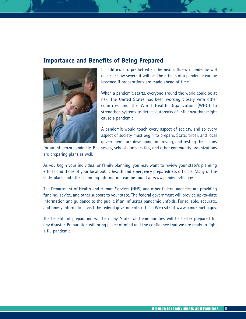### **Importance and Benefits of Being Prepared**



It is difficult to predict when the next influenza pandemic will occur or how severe it will be. The effects of a pandemic can be lessened if preparations are made ahead of time.

When a pandemic starts, everyone around the world could be at risk. The United States has been working closely with other countries and the World Health Organization (WHO) to strengthen systems to detect outbreaks of influenza that might cause a pandemic.

A pandemic would touch every aspect of society, and so every aspect of society must begin to prepare. State, tribal, and local governments are developing, improving, and testing their plans

for an influenza pandemic. Businesses, schools, universities, and other community organizations are preparing plans as well.

As you begin your individual or family planning, you may want to review your state's planning efforts and those of your local public health and emergency preparedness officials. Many of the state plans and other planning information can be found at www.pandemicflu.gov.

The Department of Health and Human Services (HHS) and other federal agencies are providing funding, advice, and other support to your state. The federal government will provide up-to-date information and guidance to the public if an influenza pandemic unfolds. For reliable, accurate, and timely information, visit the federal government's official Web site at www.pandemicflu.gov.

The benefits of preparation will be many. States and communities will be better prepared for any disaster. Preparation will bring peace of mind and the confidence that we are ready to fight a flu pandemic.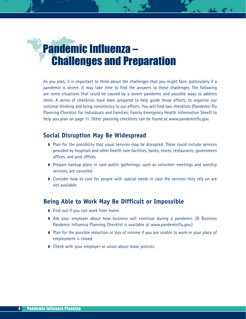

As you plan, it is important to think about the challenges that you might face, particularly if a pandemic is severe. It may take time to find the answers to these challenges. The following are some situations that could be caused by a severe pandemic and possible ways to address them. A series of checklists have been prepared to help guide those efforts, to organize our national thinking and bring consistency to our efforts. You will find two checklists (Pandemic Flu Planning Checklist for Individuals and Families; Family Emergency Health Information Sheet) to help you plan on page 11. Other planning checklists can be found at www.pandemicflu.gov.

### **Social Disruption May Be Widespread**

- ◗ Plan for the possibility that usual services may be disrupted. These could include services provided by hospitals and other health care facilities, banks, stores, restaurants, government offices, and post offices.
- ◗ Prepare backup plans in case public gatherings, such as volunteer meetings and worship services, are canceled.
- ▶ Consider how to care for people with special needs in case the services they rely on are not available.

## **Being Able to Work May Be Difficult or Impossible**

- ◗ Find out if you can work from home.
- ◗ Ask your employer about how business will continue during a pandemic. (A Business Pandemic Influenza Planning Checklist is available at www.pandemicflu.gov.)
- ◗ Plan for the possible reduction or loss of income if you are unable to work or your place of employment is closed.
- ◗ Check with your employer or union about leave policies.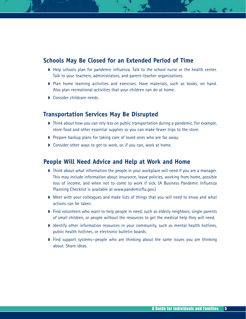## **Schools May Be Closed for an Extended Period of Time**

- ◗ Help schools plan for pandemic influenza. Talk to the school nurse or the health center. Talk to your teachers, administrators, and parent-teacher organizations.
- ◗ Plan home learning activities and exercises. Have materials, such as books, on hand. Also plan recreational activities that your children can do at home.
- Consider childcare needs.

### **Transportation Services May Be Disrupted**

- ◗ Think about how you can rely less on public transportation during a pandemic. For example, store food and other essential supplies so you can make fewer trips to the store.
- ◗ Prepare backup plans for taking care of loved ones who are far away.
- Consider other ways to get to work, or, if you can, work at home.

### **People Will Need Advice and Help at Work and Home**

- ◗ Think about what information the people in your workplace will need if you are a manager. This may include information about insurance, leave policies, working from home, possible loss of income, and when not to come to work if sick. (A Business Pandemic Influenza Planning Checklist is available at www.pandemicflu.gov.)
- ◗ Meet with your colleagues and make lists of things that you will need to know and what actions can be taken.
- ◗ Find volunteers who want to help people in need, such as elderly neighbors, single parents of small children, or people without the resources to get the medical help they will need.
- ◗ Identify other information resources in your community, such as mental health hotlines, public health hotlines, or electronic bulletin boards.
- ◗ Find support systems—people who are thinking about the same issues you are thinking about. Share ideas.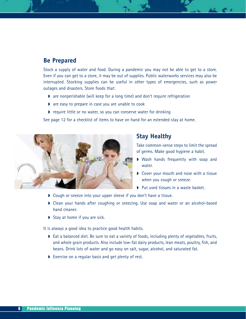## **Be Prepared**

Stock a supply of water and food. During a pandemic you may not be able to get to a store. Even if you can get to a store, it may be out of supplies. Public waterworks services may also be interrupted. Stocking supplies can be useful in other types of emergencies, such as power outages and disasters. Store foods that:

- ◗ are nonperishable (will keep for a long time) and don't require refrigeration
- ◗ are easy to prepare in case you are unable to cook
- ◗ require little or no water, so you can conserve water for drinking

See page 12 for a checklist of items to have on hand for an extended stay at home.



## **Stay Healthy**

Take common-sense steps to limit the spread of germs. Make good hygiene a habit.

- ◗ Wash hands frequently with soap and water.
- ◗ Cover your mouth and nose with a tissue when you cough or sneeze.
- ◗ Put used tissues in a waste basket.
- ◗ Cough or sneeze into your upper sleeve if you don't have a tissue.
- ◗ Clean your hands after coughing or sneezing. Use soap and water or an alcohol-based hand cleaner.
- ◗ Stay at home if you are sick.

It is always a good idea to practice good health habits.

- ◗ Eat a balanced diet. Be sure to eat a variety of foods, including plenty of vegetables, fruits, and whole grain products. Also include low-fat dairy products, lean meats, poultry, fish, and beans. Drink lots of water and go easy on salt, sugar, alcohol, and saturated fat.
- Exercise on a regular basis and get plenty of rest.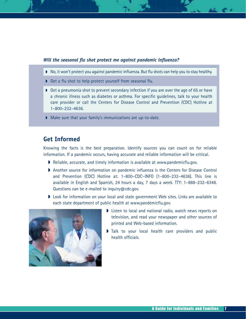### *Will the seasonal flu shot protect me against pandemic influenza?*

- ◗ No, it won't protect you against pandemic influenza. But flu shots can help you to stay healthy.
- Get a flu shot to help protect yourself from seasonal flu.
- Get a pneumonia shot to prevent secondary infection if you are over the age of 65 or have a chronic illness such as diabetes or asthma. For specific guidelines, talk to your health care provider or call the Centers for Disease Control and Prevention (CDC) Hotline at 1–800–232–4636.
- Make sure that your family's immunizations are up-to-date.

### **Get Informed**

Knowing the facts is the best preparation. Identify sources you can count on for reliable information. If a pandemic occurs, having accurate and reliable information will be critical.

- ◗ Reliable, accurate, and timely information is available at www.pandemicflu.gov.
- ◗ Another source for information on pandemic influenza is the Centers for Disease Control and Prevention (CDC) Hotline at: 1–800–CDC–INFO (1–800–232–4636). This line is available in English and Spanish, 24 hours a day, 7 days a week. TTY: 1–888–232–6348. Questions can be e-mailed to inquiry@cdc.gov.
- ◗ Look for information on your local and state government Web sites. Links are available to each state department of public health at www.pandemicflu.gov.



- ◗ Listen to local and national radio, watch news reports on television, and read your newspaper and other sources of printed and Web-based information.
- I Talk to your local health care providers and public health officials.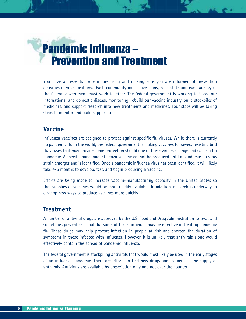## Pandemic Influenza – Prevention and Treatment

You have an essential role in preparing and making sure you are informed of prevention activities in your local area. Each community must have plans, each state and each agency of the federal government must work together. The federal government is working to boost our international and domestic disease monitoring, rebuild our vaccine industry, build stockpiles of medicines, and support research into new treatments and medicines. Your state will be taking steps to monitor and build supplies too.

### **Vaccine**

Influenza vaccines are designed to protect against specific flu viruses. While there is currently no pandemic flu in the world, the federal government is making vaccines for several existing bird flu viruses that may provide some protection should one of these viruses change and cause a flu pandemic. A specific pandemic influenza vaccine cannot be produced until a pandemic flu virus strain emerges and is identified. Once a pandemic influenza virus has been identified, it will likely take 4-6 months to develop, test, and begin producing a vaccine.

Efforts are being made to increase vaccine-manufacturing capacity in the United States so that supplies of vaccines would be more readily available. In addition, research is underway to develop new ways to produce vaccines more quickly.

## **Treatment**

A number of antiviral drugs are approved by the U.S. Food and Drug Administration to treat and sometimes prevent seasonal flu. Some of these antivirals may be effective in treating pandemic flu. These drugs may help prevent infection in people at risk and shorten the duration of symptoms in those infected with influenza. However, it is unlikely that antivirals alone would effectively contain the spread of pandemic influenza.

The federal government is stockpiling antivirals that would most likely be used in the early stages of an influenza pandemic. There are efforts to find new drugs and to increase the supply of antivirals. Antivirals are available by prescription only and not over the counter.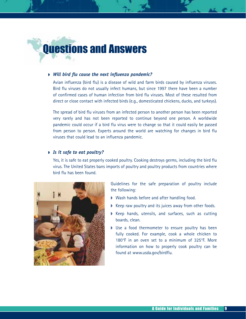

#### ◗ *Will bird flu cause the next influenza pandemic?*

Avian influenza (bird flu) is a disease of wild and farm birds caused by influenza viruses. Bird flu viruses do not usually infect humans, but since 1997 there have been a number of confirmed cases of human infection from bird flu viruses. Most of these resulted from direct or close contact with infected birds (e.g., domesticated chickens, ducks, and turkeys).

The spread of bird flu viruses from an infected person to another person has been reported very rarely and has not been reported to continue beyond one person. A worldwide pandemic could occur if a bird flu virus were to change so that it could easily be passed from person to person. Experts around the world are watching for changes in bird flu viruses that could lead to an influenza pandemic.

### ◗ *Is it safe to eat poultry?*

Yes, it is safe to eat properly cooked poultry. Cooking destroys germs, including the bird flu virus. The United States bans imports of poultry and poultry products from countries where bird flu has been found.



Guidelines for the safe preparation of poultry include the following:

- Wash hands before and after handling food.
- Keep raw poultry and its juices away from other foods.
- Keep hands, utensils, and surfaces, such as cutting boards, clean.
- Use a food thermometer to ensure poultry has been fully cooked. For example, cook a whole chicken to 180°F in an oven set to a minimum of 325°F. More information on how to properly cook poultry can be found at www.usda.gov/birdflu.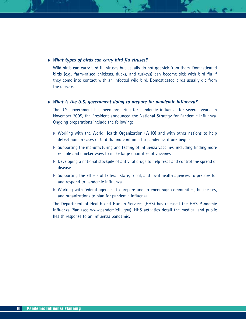### ◗ *What types of birds can carry bird flu viruses?*

Wild birds can carry bird flu viruses but usually do not get sick from them. Domesticated birds (e.g., farm-raised chickens, ducks, and turkeys) can become sick with bird flu if they come into contact with an infected wild bird. Domesticated birds usually die from the disease.

### ◗ *What is the U.S. government doing to prepare for pandemic influenza?*

The U.S. government has been preparing for pandemic influenza for several years. In November 2005, the President announced the National Strategy for Pandemic Influenza. Ongoing preparations include the following:

- Working with the World Health Organization (WHO) and with other nations to help detect human cases of bird flu and contain a flu pandemic, if one begins
- ◗ Supporting the manufacturing and testing of influenza vaccines, including finding more reliable and quicker ways to make large quantities of vaccines
- Developing a national stockpile of antiviral drugs to help treat and control the spread of disease
- ◗ Supporting the efforts of federal, state, tribal, and local health agencies to prepare for and respond to pandemic influenza
- ◗ Working with federal agencies to prepare and to encourage communities, businesses, and organizations to plan for pandemic influenza

The Department of Health and Human Services (HHS) has released the HHS Pandemic Influenza Plan (see www.pandemicflu.gov). HHS activities detail the medical and public health response to an influenza pandemic.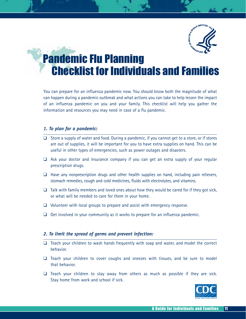

## **Pandemic Flu Planning** Checklist for Individuals and Families

You can prepare for an influenza pandemic now. You should know both the magnitude of what can happen during a pandemic outbreak and what actions you can take to help lessen the impact of an influenza pandemic on you and your family. This checklist will help you gather the information and resources you may need in case of a flu pandemic.

### *1. To plan for a pandemic:*

- ❑ Store a supply of water and food. During a pandemic, if you cannot get to a store, or if stores are out of supplies, it will be important for you to have extra supplies on hand. This can be useful in other types of emergencies, such as power outages and disasters.
- ❑ Ask your doctor and insurance company if you can get an extra supply of your regular prescription drugs.
- $\Box$  Have any nonprescription drugs and other health supplies on hand, including pain relievers, stomach remedies, cough and cold medicines, fluids with electrolytes, and vitamins.
- $\Box$  Talk with family members and loved ones about how they would be cared for if they got sick, or what will be needed to care for them in your home.
- ❑ Volunteer with local groups to prepare and assist with emergency response.
- $\Box$  Get involved in your community as it works to prepare for an influenza pandemic.

### *2. To limit the spread of germs and prevent infection:*

- ❑ Teach your children to wash hands frequently with soap and water, and model the correct behavior.
- ❑ Teach your children to cover coughs and sneezes with tissues, and be sure to model that behavior.
- $\Box$  Teach your children to stay away from others as much as possible if they are sick. Stay home from work and school if sick.

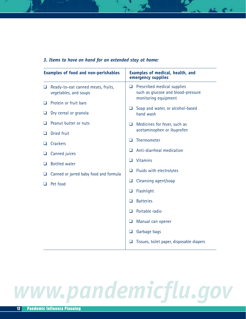| <b>Examples of food and non-perishables</b> |                                                             | Examples of medical, health, and<br>emergency supplies                                              |  |
|---------------------------------------------|-------------------------------------------------------------|-----------------------------------------------------------------------------------------------------|--|
| ❏                                           | Ready-to-eat canned meats, fruits,<br>vegetables, and soups | Prescribed medical supplies<br>$\Box$<br>such as glucose and blood-pressure<br>monitoring equipment |  |
| ப                                           | Protein or fruit bars                                       |                                                                                                     |  |
| ⊔                                           | Dry cereal or granola                                       | Soap and water, or alcohol-based<br>$\Box$<br>hand wash                                             |  |
| ⊔                                           | Peanut butter or nuts                                       | Medicines for fever, such as<br>❏                                                                   |  |
| ⊔                                           | Dried fruit                                                 | acetaminophen or ibuprofen                                                                          |  |
| ⊔                                           | <b>Crackers</b>                                             | Thermometer<br>n                                                                                    |  |
| ⊔                                           | Canned juices                                               | Anti-diarrheal medication<br>n                                                                      |  |
| ⊔                                           | <b>Bottled</b> water                                        | <b>Vitamins</b><br>ப                                                                                |  |
| ❏                                           | Canned or jarred baby food and formula                      | Fluids with electrolytes<br>⊔                                                                       |  |
| Pet food                                    |                                                             | Cleansing agent/soap<br>❏                                                                           |  |
|                                             |                                                             | Flashlight<br>❏                                                                                     |  |
|                                             |                                                             | <b>Batteries</b><br>$\Box$                                                                          |  |
|                                             |                                                             | Portable radio<br>$\Box$                                                                            |  |
|                                             |                                                             | Manual can opener<br>❏                                                                              |  |
|                                             |                                                             | Garbage bags<br>❏                                                                                   |  |
|                                             |                                                             | Tissues, toilet paper, disposable diapers<br>❏                                                      |  |

### *3. Items to have on hand for an extended stay at home:*

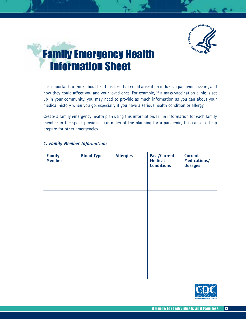

## Family Emergency Health Information Sheet

It is important to think about health issues that could arise if an influenza pandemic occurs, and how they could affect you and your loved ones. For example, if a mass vaccination clinic is set up in your community, you may need to provide as much information as you can about your medical history when you go, especially if you have a serious health condition or allergy.

Create a family emergency health plan using this information. Fill in information for each family member in the space provided. Like much of the planning for a pandemic, this can also help prepare for other emergencies.

| <b>Family</b><br>Member | <b>Blood Type</b> | <b>Allergies</b> | <b>Past/Current</b><br>Medical<br><b>Conditions</b> | <b>Current</b><br>Medications/<br><b>Dosages</b> |
|-------------------------|-------------------|------------------|-----------------------------------------------------|--------------------------------------------------|
|                         |                   |                  |                                                     |                                                  |
|                         |                   |                  |                                                     |                                                  |
|                         |                   |                  |                                                     |                                                  |
|                         |                   |                  |                                                     |                                                  |
|                         |                   |                  |                                                     |                                                  |
|                         |                   |                  |                                                     |                                                  |
|                         |                   |                  |                                                     |                                                  |

### *1. Family Member Information:*

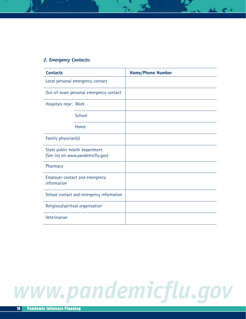### *2. Emergency Contacts:*

| <b>Contacts</b>                                                     |        | <b>Name/Phone Number</b> |
|---------------------------------------------------------------------|--------|--------------------------|
| Local personal emergency contact                                    |        |                          |
| Out-of-town personal emergency contact                              |        |                          |
| Hospitals near: Work                                                |        |                          |
|                                                                     | School |                          |
|                                                                     | Home   |                          |
| Family physician(s)                                                 |        |                          |
| State public health department<br>(See list on www.pandemicflu.gov) |        |                          |
| Pharmacy                                                            |        |                          |
| Employer contact and emergency<br>information                       |        |                          |
| School contact and emergency information                            |        |                          |
| Religious/spiritual organization                                    |        |                          |
| Veterinarian                                                        |        |                          |

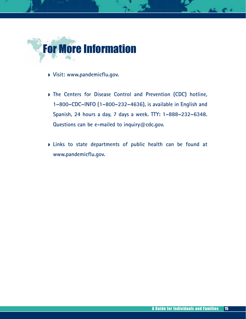

- ◗ **Visit: www.pandemicflu.gov.**
- ◗ **The Centers for Disease Control and Prevention (CDC) hotline, 1–800–CDC–INFO (1–800–232–4636), is available in English and Spanish, 24 hours a day, 7 days a week. TTY: 1–888–232–6348. Questions can be e-mailed to inquiry@cdc.gov.**
- ◗ **Links to state departments of public health can be found at www.pandemicflu.gov.**